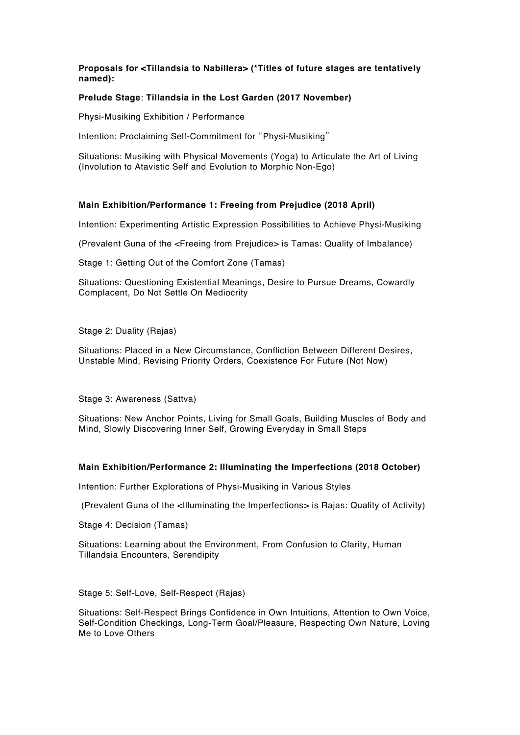# **Proposals for <Tillandsia to Nabillera> (\*Titles of future stages are tentatively named):**

## **Prelude Stage**: **Tillandsia in the Lost Garden (2017 November)**

Physi-Musiking Exhibition / Performance

Intention: Proclaiming Self-Commitment for "Physi-Musiking"

Situations: Musiking with Physical Movements (Yoga) to Articulate the Art of Living (Involution to Atavistic Self and Evolution to Morphic Non-Ego)

## **Main Exhibition/Performance 1: Freeing from Prejudice (2018 April)**

Intention: Experimenting Artistic Expression Possibilities to Achieve Physi-Musiking

(Prevalent Guna of the <Freeing from Prejudice> is Tamas: Quality of Imbalance)

Stage 1: Getting Out of the Comfort Zone (Tamas)

Situations: Questioning Existential Meanings, Desire to Pursue Dreams, Cowardly Complacent, Do Not Settle On Mediocrity

Stage 2: Duality (Rajas)

Situations: Placed in a New Circumstance, Confliction Between Different Desires, Unstable Mind, Revising Priority Orders, Coexistence For Future (Not Now)

Stage 3: Awareness (Sattva)

Situations: New Anchor Points, Living for Small Goals, Building Muscles of Body and Mind, Slowly Discovering Inner Self, Growing Everyday in Small Steps

# **Main Exhibition/Performance 2: Illuminating the Imperfections (2018 October)**

Intention: Further Explorations of Physi-Musiking in Various Styles

(Prevalent Guna of the <Illuminating the Imperfections> is Rajas: Quality of Activity)

Stage 4: Decision (Tamas)

Situations: Learning about the Environment, From Confusion to Clarity, Human Tillandsia Encounters, Serendipity

Stage 5: Self-Love, Self-Respect (Rajas)

Situations: Self-Respect Brings Confidence in Own Intuitions, Attention to Own Voice, Self-Condition Checkings, Long-Term Goal/Pleasure, Respecting Own Nature, Loving Me to Love Others